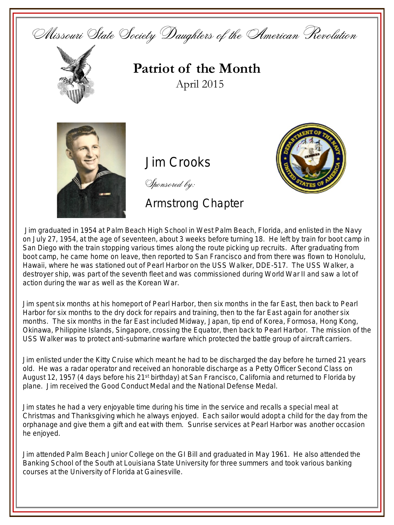Missouri State Society Daughters of the American Revolution



**Patriot of the Month** April 2015



**Jim Crooks** 

Sponsored by:

Armstrong Chapter



Jim graduated in 1954 at Palm Beach High School in West Palm Beach, Florida, and enlisted in the Navy on July 27, 1954, at the age of seventeen, about 3 weeks before turning 18. He left by train for boot camp in San Diego with the train stopping various times along the route picking up recruits. After graduating from boot camp, he came home on leave, then reported to San Francisco and from there was flown to Honolulu, Hawaii, where he was stationed out of Pearl Harbor on the USS Walker, DDE-517. The USS Walker, a destroyer ship, was part of the seventh fleet and was commissioned during World War II and saw a lot of action during the war as well as the Korean War.

Jim spent six months at his homeport of Pearl Harbor, then six months in the far East, then back to Pearl Harbor for six months to the dry dock for repairs and training, then to the far East again for another six months. The six months in the far East included Midway, Japan, tip end of Korea, Formosa, Hong Kong, Okinawa, Philippine Islands, Singapore, crossing the Equator, then back to Pearl Harbor. The mission of the USS Walker was to protect anti-submarine warfare which protected the battle group of aircraft carriers.

Jim enlisted under the Kitty Cruise which meant he had to be discharged the day before he turned 21 years old. He was a radar operator and received an honorable discharge as a Petty Officer Second Class on August 12, 1957 (4 days before his 21<sup>st</sup> birthday) at San Francisco, California and returned to Florida by plane. Jim received the Good Conduct Medal and the National Defense Medal.

Jim states he had a very enjoyable time during his time in the service and recalls a special meal at Christmas and Thanksgiving which he always enjoyed. Each sailor would adopt a child for the day from the orphanage and give them a gift and eat with them. Sunrise services at Pearl Harbor was another occasion he enjoyed.

Jim attended Palm Beach Junior College on the GI Bill and graduated in May 1961. He also attended the Banking School of the South at Louisiana State University for three summers and took various banking courses at the University of Florida at Gainesville.